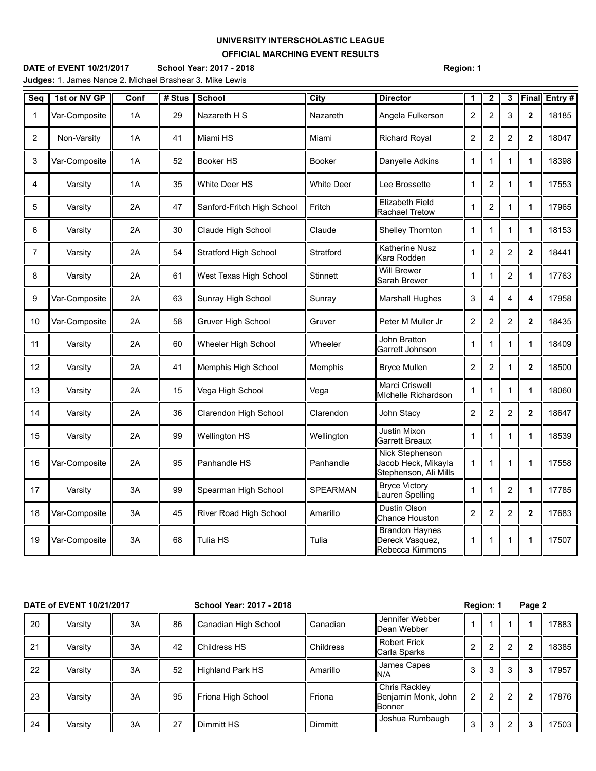## **UNIVERSITY INTERSCHOLASTIC LEAGUE OFFICIAL MARCHING EVENT RESULTS**

**DATE of EVENT 10/21/2017 School Year: 2017 - 2018 Region: 1 Judges:** 1. James Nance 2. Michael Brashear 3. Mike Lewis

| Seq            | 1st or NV GP  | Conf | # Stus | <b>School</b>                | City              | <b>Director</b>                                                 | 1                | $\mathbf 2$             | 3              | Final                   | Entry# |
|----------------|---------------|------|--------|------------------------------|-------------------|-----------------------------------------------------------------|------------------|-------------------------|----------------|-------------------------|--------|
| 1              | Var-Composite | 1A   | 29     | Nazareth H S                 | Nazareth          | Angela Fulkerson                                                | $\overline{c}$   | $\overline{c}$          | 3              | $\mathbf 2$             | 18185  |
| 2              | Non-Varsity   | 1A   | 41     | Miami HS                     | Miami             | <b>Richard Royal</b>                                            | $\overline{c}$   | 2                       | 2              | $\mathbf{2}$            | 18047  |
| 3              | Var-Composite | 1A   | 52     | Booker HS                    | <b>Booker</b>     | Danyelle Adkins                                                 | $\mathbf{1}$     | 1                       | 1              | $\mathbf 1$             | 18398  |
| 4              | Varsity       | 1A   | 35     | <b>White Deer HS</b>         | <b>White Deer</b> | Lee Brossette                                                   | 1                | $\overline{c}$          | 1              | $\mathbf 1$             | 17553  |
| 5              | Varsity       | 2A   | 47     | Sanford-Fritch High School   | Fritch            | <b>Elizabeth Field</b><br>Rachael Tretow                        | 1                | 2                       | 1              | 1                       | 17965  |
| 6              | Varsity       | 2A   | 30     | Claude High School           | Claude            | Shelley Thornton                                                | 1                | 1                       | 1              | $\mathbf 1$             | 18153  |
| $\overline{7}$ | Varsity       | 2A   | 54     | <b>Stratford High School</b> | Stratford         | <b>Katherine Nusz</b><br>Kara Rodden                            | $\mathbf{1}$     | 2                       | $\overline{c}$ | $\overline{\mathbf{2}}$ | 18441  |
| 8              | Varsity       | 2A   | 61     | West Texas High School       | <b>Stinnett</b>   | <b>Will Brewer</b><br>Sarah Brewer                              | 1                | 1                       | 2              | $\mathbf 1$             | 17763  |
| 9              | Var-Composite | 2A   | 63     | Sunray High School           | Sunray            | <b>Marshall Hughes</b>                                          | $\mathsf 3$      | $\overline{4}$          | 4              | 4                       | 17958  |
| 10             | Var-Composite | 2A   | 58     | Gruver High School           | Gruver            | Peter M Muller Jr                                               | $\boldsymbol{2}$ | $\overline{2}$          | $\overline{2}$ | $\mathbf{2}$            | 18435  |
| 11             | Varsity       | 2A   | 60     | Wheeler High School          | Wheeler           | John Bratton<br>Garrett Johnson                                 | 1                | 1                       | 1              | $\mathbf 1$             | 18409  |
| 12             | Varsity       | 2A   | 41     | Memphis High School          | Memphis           | <b>Bryce Mullen</b>                                             | $\boldsymbol{2}$ | $\overline{\mathbf{c}}$ | 1              | $\mathbf 2$             | 18500  |
| 13             | Varsity       | 2Α   | 15     | Vega High School             | Vega              | Marci Criswell<br>Michelle Richardson                           | $\mathbf{1}$     | 1                       | 1              | $\mathbf 1$             | 18060  |
| 14             | Varsity       | 2A   | 36     | Clarendon High School        | Clarendon         | John Stacy                                                      | $\overline{c}$   | $\overline{c}$          | $\overline{c}$ | $\mathbf 2$             | 18647  |
| 15             | Varsity       | 2A   | 99     | <b>Wellington HS</b>         | Wellington        | <b>Justin Mixon</b><br>Garrett Breaux                           | 1                | 1                       | 1              | $\mathbf{1}$            | 18539  |
| 16             | Var-Composite | 2A   | 95     | Panhandle HS                 | Panhandle         | Nick Stephenson<br>Jacob Heck, Mikayla<br>Stephenson, Ali Mills | $\mathbf{1}$     | 1                       | 1              | 1                       | 17558  |
| 17             | Varsity       | 3A   | 99     | Spearman High School         | <b>SPEARMAN</b>   | <b>Bryce Victory</b><br>Lauren Spelling                         | 1                | 1                       | $\overline{2}$ | $\mathbf 1$             | 17785  |
| 18             | Var-Composite | 3A   | 45     | River Road High School       | Amarillo          | Dustin Olson<br><b>Chance Houston</b>                           | $\overline{c}$   | 2                       | 2              | $\mathbf 2$             | 17683  |
| 19             | Var-Composite | 3A   | 68     | Tulia HS                     | Tulia             | <b>Brandon Haynes</b><br>Dereck Vasquez,<br>Rebecca Kimmons     | 1                | 1                       | 1              | 1                       | 17507  |

| DATE of EVENT 10/21/2017 |         |    |    | School Year: 2017 - 2018 |           |                                                       | Region: 1 |   |   | Page 2       |       |  |
|--------------------------|---------|----|----|--------------------------|-----------|-------------------------------------------------------|-----------|---|---|--------------|-------|--|
| 20                       | Varsity | 3A | 86 | Canadian High School     | Canadian  | Jennifer Webber<br><b>IDean Webber</b>                |           |   |   |              | 17883 |  |
| 21                       | Varsity | 3A | 42 | Childress HS             | Childress | <b>Robert Frick</b><br>Carla Sparks                   | 2         | 2 |   | $\mathbf{2}$ | 18385 |  |
| 22                       | Varsity | 3A | 52 | Highland Park HS         | Amarillo  | James Capes<br>N/A                                    | 3         | 3 | Э | 3            | 17957 |  |
| 23                       | Varsity | 3A | 95 | Friona High School       | Friona    | Chris Rackley<br>Benjamin Monk, John<br><b>Bonner</b> | 2         | 2 | ົ | $\mathbf{2}$ | 17876 |  |
| 24                       | Varsity | 3A | 27 | Dimmitt HS               | Dimmitt   | Joshua Rumbaugh                                       | 3         | 3 |   | 3            | 17503 |  |